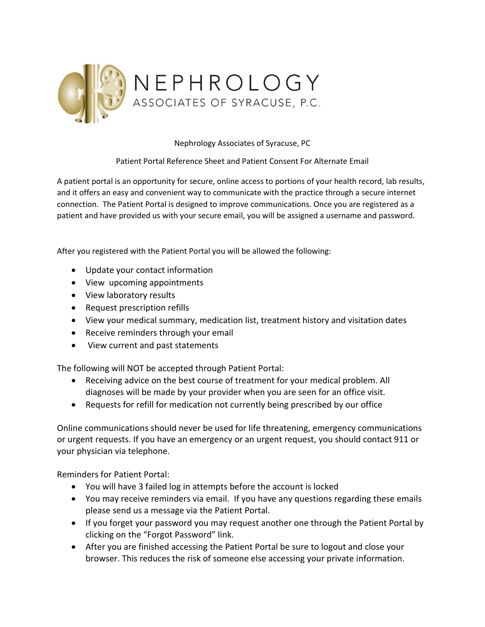

Nephrology Associates of Syracuse, PC

Patient Portal Reference Sheet and Patient Consent For Alternate Email

A patient portal is an opportunity for secure, online access to portions of your health record, lab results, and it offers an easy and convenient way to communicate with the practice through a secure internet connection. The Patient Portal is designed to improve communications. Once you are registered as a patient and have provided us with your secure email, you will be assigned a username and password.

After you registered with the Patient Portal you will be allowed the following:

- Update your contact information
- View upcoming appointments
- View laboratory results
- Request prescription refills
- View your medical summary, medication list, treatment history and visitation dates
- Receive reminders through your email
- View current and past statements

The following will NOT be accepted through Patient Portal:

- Receiving advice on the best course of treatment for your medical problem. All diagnoses will be made by your provider when you are seen for an office visit.
- Requests for refill for medication not currently being prescribed by our office

Online communications should never be used for life threatening, emergency communications or urgent requests. If you have an emergency or an urgent request, you should contact 911 or your physician via telephone.

Reminders for Patient Portal:

- You will have 3 failed log in attempts before the account is locked
- You may receive reminders via email. If you have any questions regarding these emails please send us a message via the Patient Portal.
- If you forget your password you may request another one through the Patient Portal by clicking on the "Forgot Password" link.
- After you are finished accessing the Patient Portal be sure to logout and close your browser. This reduces the risk of someone else accessing your private information.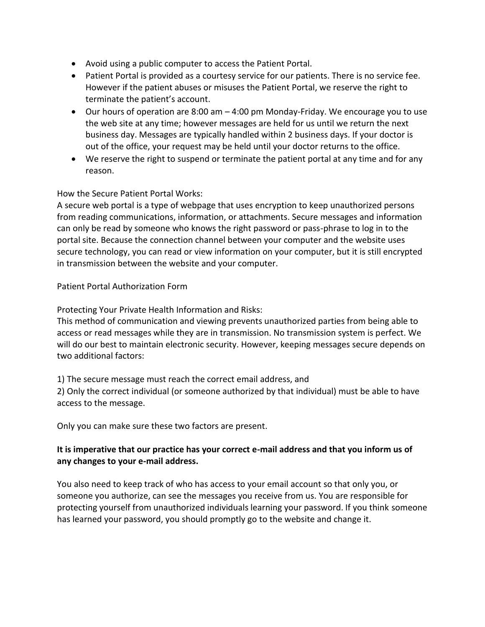- Avoid using a public computer to access the Patient Portal.
- Patient Portal is provided as a courtesy service for our patients. There is no service fee. However if the patient abuses or misuses the Patient Portal, we reserve the right to terminate the patient's account.
- Our hours of operation are 8:00 am 4:00 pm Monday-Friday. We encourage you to use the web site at any time; however messages are held for us until we return the next business day. Messages are typically handled within 2 business days. If your doctor is out of the office, your request may be held until your doctor returns to the office.
- We reserve the right to suspend or terminate the patient portal at any time and for any reason.

## How the Secure Patient Portal Works:

A secure web portal is a type of webpage that uses encryption to keep unauthorized persons from reading communications, information, or attachments. Secure messages and information can only be read by someone who knows the right password or pass-phrase to log in to the portal site. Because the connection channel between your computer and the website uses secure technology, you can read or view information on your computer, but it is still encrypted in transmission between the website and your computer.

## Patient Portal Authorization Form

Protecting Your Private Health Information and Risks:

This method of communication and viewing prevents unauthorized parties from being able to access or read messages while they are in transmission. No transmission system is perfect. We will do our best to maintain electronic security. However, keeping messages secure depends on two additional factors:

1) The secure message must reach the correct email address, and

2) Only the correct individual (or someone authorized by that individual) must be able to have access to the message.

Only you can make sure these two factors are present.

## **It is imperative that our practice has your correct e-mail address and that you inform us of any changes to your e-mail address.**

You also need to keep track of who has access to your email account so that only you, or someone you authorize, can see the messages you receive from us. You are responsible for protecting yourself from unauthorized individuals learning your password. If you think someone has learned your password, you should promptly go to the website and change it.